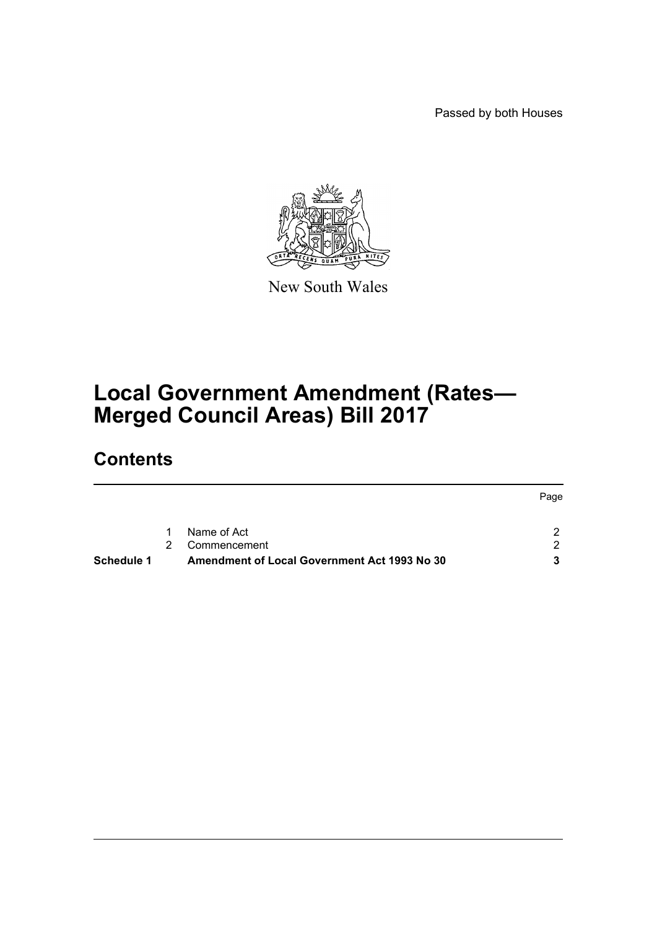Passed by both Houses



New South Wales

# **Local Government Amendment (Rates— Merged Council Areas) Bill 2017**

### **Contents**

| Schedule 1 |   | <b>Amendment of Local Government Act 1993 No 30</b> |      |
|------------|---|-----------------------------------------------------|------|
|            |   | Commencement                                        | - 2  |
|            | 1 | Name of Act                                         | ົ    |
|            |   |                                                     | Page |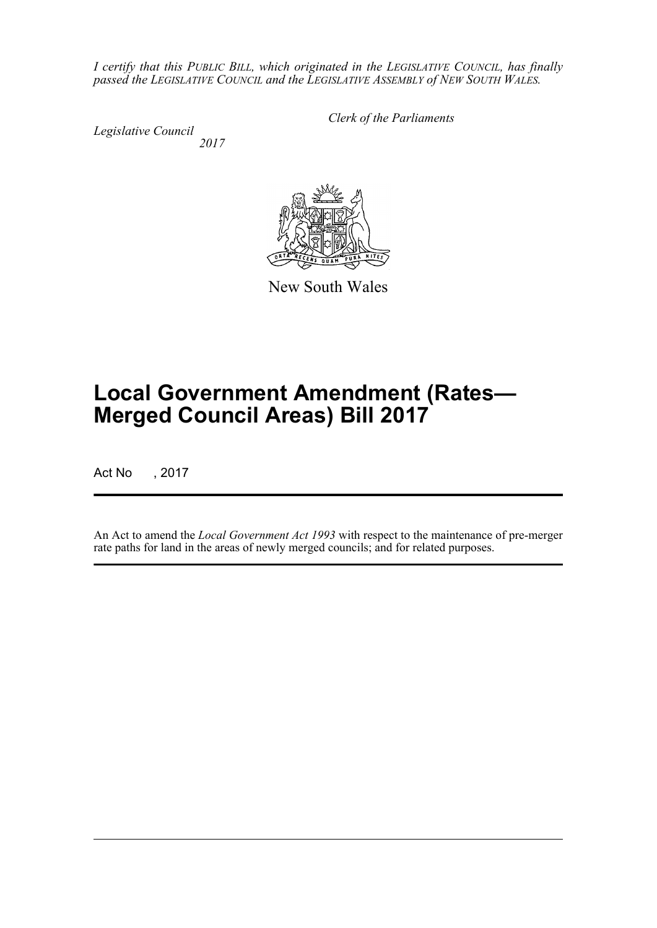*I certify that this PUBLIC BILL, which originated in the LEGISLATIVE COUNCIL, has finally passed the LEGISLATIVE COUNCIL and the LEGISLATIVE ASSEMBLY of NEW SOUTH WALES.*

*Legislative Council 2017* *Clerk of the Parliaments*



New South Wales

# **Local Government Amendment (Rates— Merged Council Areas) Bill 2017**

Act No , 2017

An Act to amend the *Local Government Act 1993* with respect to the maintenance of pre-merger rate paths for land in the areas of newly merged councils; and for related purposes.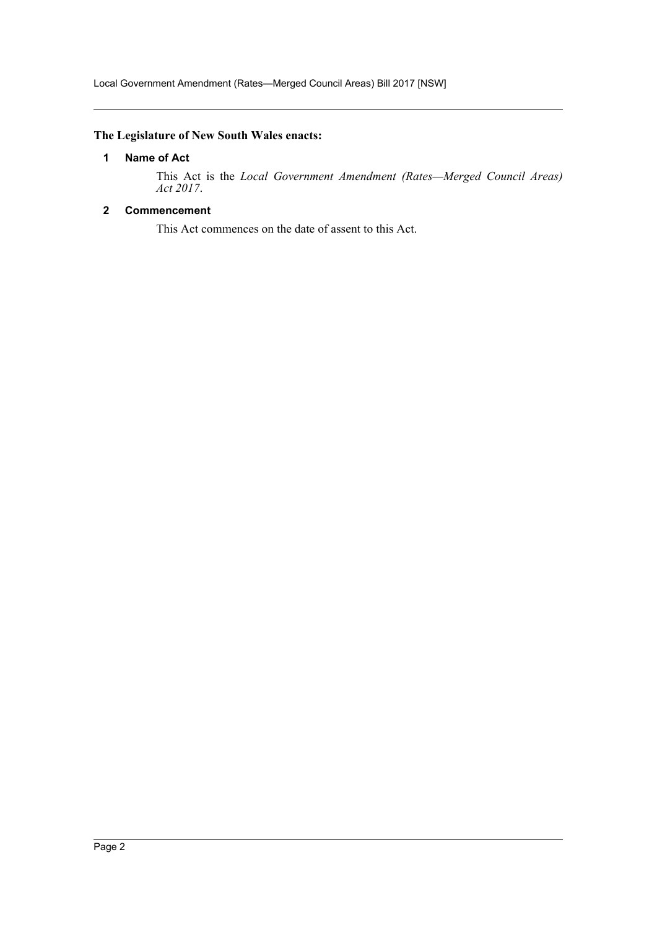#### <span id="page-2-0"></span>**The Legislature of New South Wales enacts:**

#### **1 Name of Act**

This Act is the *Local Government Amendment (Rates—Merged Council Areas) Act 2017*.

#### <span id="page-2-1"></span>**2 Commencement**

This Act commences on the date of assent to this Act.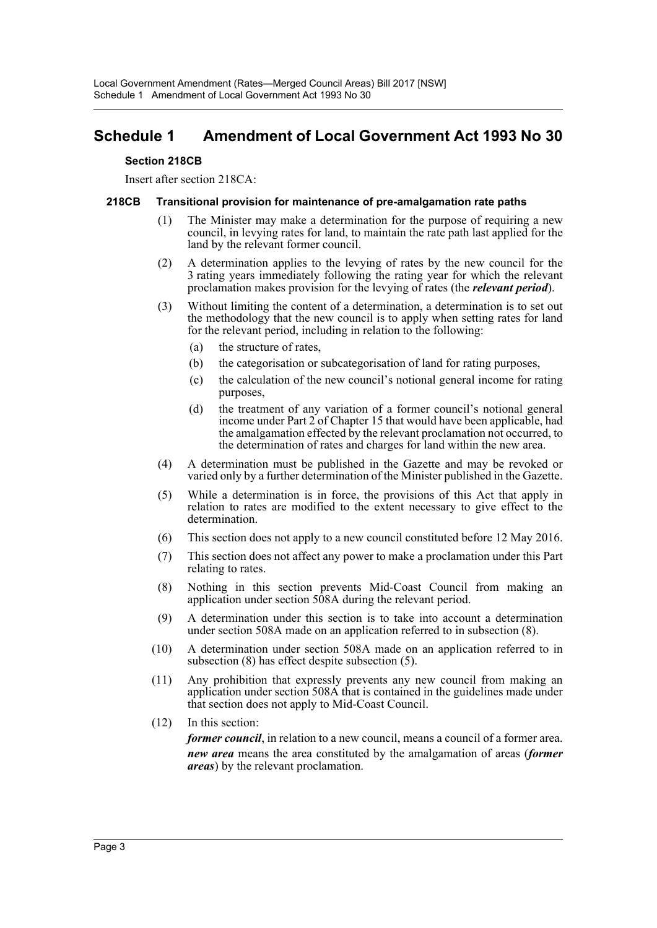### <span id="page-3-0"></span>**Schedule 1 Amendment of Local Government Act 1993 No 30**

#### **Section 218CB**

Insert after section 218CA:

#### **218CB Transitional provision for maintenance of pre-amalgamation rate paths**

- (1) The Minister may make a determination for the purpose of requiring a new council, in levying rates for land, to maintain the rate path last applied for the land by the relevant former council.
- (2) A determination applies to the levying of rates by the new council for the 3 rating years immediately following the rating year for which the relevant proclamation makes provision for the levying of rates (the *relevant period*).
- (3) Without limiting the content of a determination, a determination is to set out the methodology that the new council is to apply when setting rates for land for the relevant period, including in relation to the following:
	- (a) the structure of rates,
	- (b) the categorisation or subcategorisation of land for rating purposes,
	- (c) the calculation of the new council's notional general income for rating purposes,
	- (d) the treatment of any variation of a former council's notional general income under Part 2 of Chapter 15 that would have been applicable, had the amalgamation effected by the relevant proclamation not occurred, to the determination of rates and charges for land within the new area.
- (4) A determination must be published in the Gazette and may be revoked or varied only by a further determination of the Minister published in the Gazette.
- (5) While a determination is in force, the provisions of this Act that apply in relation to rates are modified to the extent necessary to give effect to the determination.
- (6) This section does not apply to a new council constituted before 12 May 2016.
- (7) This section does not affect any power to make a proclamation under this Part relating to rates.
- (8) Nothing in this section prevents Mid-Coast Council from making an application under section 508A during the relevant period.
- (9) A determination under this section is to take into account a determination under section 508A made on an application referred to in subsection (8).
- (10) A determination under section 508A made on an application referred to in subsection (8) has effect despite subsection (5).
- (11) Any prohibition that expressly prevents any new council from making an application under section 508A that is contained in the guidelines made under that section does not apply to Mid-Coast Council.
- (12) In this section:

*former council*, in relation to a new council, means a council of a former area. *new area* means the area constituted by the amalgamation of areas (*former areas*) by the relevant proclamation.